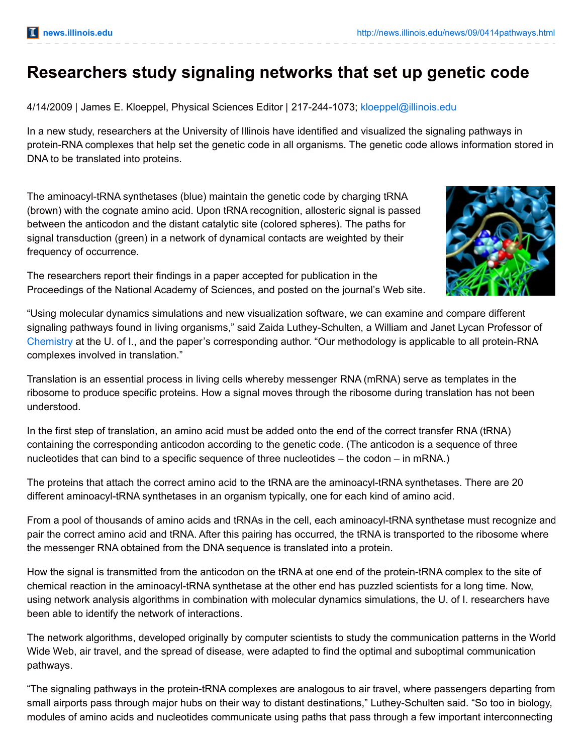## **Researchers study signaling networks that set up genetic code**

4/14/2009 | James E. Kloeppel, Physical Sciences Editor | 217-244-1073; [kloeppel@illinois.edu](mailto:kloeppel@illinois.edu)

In a new study, researchers at the University of Illinois have identified and visualized the signaling pathways in protein-RNA complexes that help set the genetic code in all organisms. The genetic code allows information stored in DNA to be translated into proteins.

The aminoacyl-tRNA synthetases (blue) maintain the genetic code by charging tRNA (brown) with the cognate amino acid. Upon tRNA recognition, allosteric signal is passed between the anticodon and the distant catalytic site (colored spheres). The paths for signal transduction (green) in a network of dynamical contacts are weighted by their frequency of occurrence.

The researchers report their findings in a paper accepted for publication in the Proceedings of the National Academy of Sciences, and posted on the journal's Web site.

"Using molecular dynamics simulations and new visualization software, we can examine and compare different signaling pathways found in living organisms," said Zaida Luthey-Schulten, a William and Janet Lycan Professor of [Chemistry](http://chemistry.illinois.edu/) at the U. of I., and the paper's corresponding author. "Our methodology is applicable to all protein-RNA complexes involved in translation."

Translation is an essential process in living cells whereby messenger RNA (mRNA) serve as templates in the ribosome to produce specific proteins. How a signal moves through the ribosome during translation has not been understood.

In the first step of translation, an amino acid must be added onto the end of the correct transfer RNA (tRNA) containing the corresponding anticodon according to the genetic code. (The anticodon is a sequence of three nucleotides that can bind to a specific sequence of three nucleotides – the codon – in mRNA.)

The proteins that attach the correct amino acid to the tRNA are the aminoacyl-tRNA synthetases. There are 20 different aminoacyl-tRNA synthetases in an organism typically, one for each kind of amino acid.

From a pool of thousands of amino acids and tRNAs in the cell, each aminoacyl-tRNA synthetase must recognize and pair the correct amino acid and tRNA. After this pairing has occurred, the tRNA is transported to the ribosome where the messenger RNA obtained from the DNA sequence is translated into a protein.

How the signal is transmitted from the anticodon on the tRNA at one end of the protein-tRNA complex to the site of chemical reaction in the aminoacyl-tRNA synthetase at the other end has puzzled scientists for a long time. Now, using network analysis algorithms in combination with molecular dynamics simulations, the U. of I. researchers have been able to identify the network of interactions.

The network algorithms, developed originally by computer scientists to study the communication patterns in the World Wide Web, air travel, and the spread of disease, were adapted to find the optimal and suboptimal communication pathways.

"The signaling pathways in the protein-tRNA complexes are analogous to air travel, where passengers departing from small airports pass through major hubs on their way to distant destinations," Luthey-Schulten said. "So too in biology, modules of amino acids and nucleotides communicate using paths that pass through a few important interconnecting